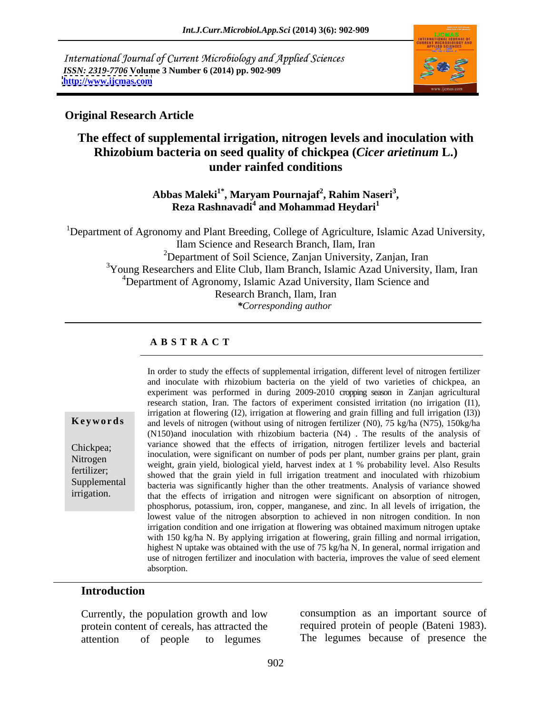International Journal of Current Microbiology and Applied Sciences *ISSN: 2319-7706* **Volume 3 Number 6 (2014) pp. 902-909 <http://www.ijcmas.com>**



### **Original Research Article**

# **The effect of supplemental irrigation, nitrogen levels and inoculation with Rhizobium bacteria on seed quality of chickpea (***Cicer arietinum* **L.) under rainfed conditions**

**Abbas Maleki1\* , Maryam Pournajaf<sup>2</sup> , Rahim Naseri<sup>3</sup>** as Maleki<sup>1</sup>°, Maryam Pournajaf<sup>2</sup>, Rahim Naseri<sup>3</sup>,<br>Reza Rashnavadi<sup>4</sup> and Mohammad Heydari<sup>1</sup>

<sup>1</sup>Department of Agronomy and Plant Breeding, College of Agriculture, Islamic Azad University, Ilam Science and Research Branch, Ilam, Iran <sup>2</sup>Department of Soil Science, Zanjan University, Zanjan, Iran <sup>3</sup>Young Researchers and Elite Club, Ilam Branch, Islamic Azad University, Ilam, Iran <sup>4</sup>Department of Agronomy, Islamic Azad University, Ilam Science and Research Branch, Ilam, Iran *\*Corresponding author* 

### **A B S T R A C T**

**Keywords** and levels of nitrogen (without using of nitrogen fertilizer (N0), 75 kg/ha (N75), 150kg/ha Chickpea; variance showed that the effects of irrigation, nitrogen fertilizer levels and bacterial Nitrogen<br>
weight, grain yield, biological yield, harvest index at 1 % probability level. Also Results fertilizer;<br>showed that the grain yield in full irrigation treatment and inoculated with rhizobium Supplemental bacteria was significantly higher than the other treatments. Analysis of variance showed irrigation. 
that the effects of irrigation and nitrogen were significant on absorption of nitrogen, In order to study the effects of supplemental irrigation, different level of nitrogen fertilizer and inoculate with rhizobium bacteria on the yield of two varieties of chickpea, an experiment was performed in during 2009-2010 cropping season in Zanjan agricultural research station, Iran. The factors of experiment consisted irritation (no irrigation (I1), irrigation at flowering (I2), irrigation at flowering and grain filling and full irrigation (I3)) (N150)and inoculation with rhizobium bacteria (N4) . The results of the analysis of inoculation, were significant on number of pods per plant, number grains per plant, grain phosphorus, potassium, iron, copper, manganese, and zinc. In all levels of irrigation, the lowest value of the nitrogen absorption to achieved in non nitrogen condition. In non irrigation condition and one irrigation at flowering was obtained maximum nitrogen uptake with 150 kg/ha N. By applying irrigation at flowering, grain filling and normal irrigation, highest N uptake was obtained with the use of  $75 \text{ kg/ha}$  N. In general, normal irrigation and use of nitrogen fertilizer and inoculation with bacteria, improves the value of seed element absorption.

### **Introduction**

Currently, the population growth and low protein content of cereals, has attracted the attention of people to legumes The legumes because of presence the

consumption as an important source of required protein of people (Bateni 1983).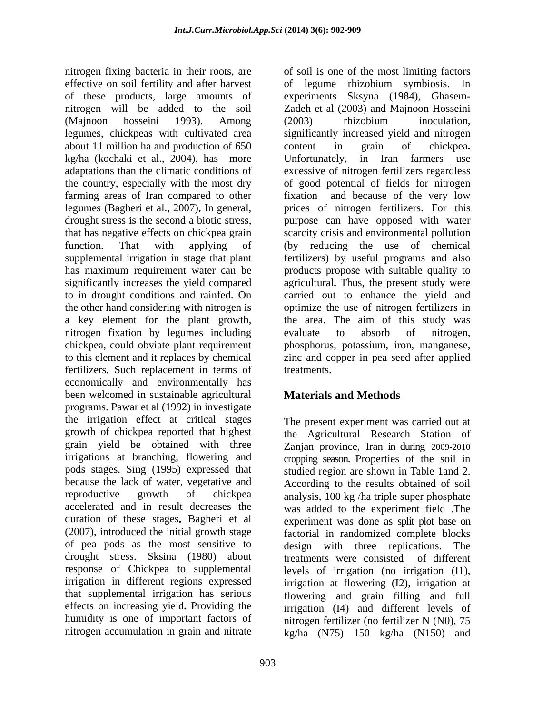nitrogen fixing bacteria in their roots, are of soil is one of the most limiting factors effective on soil fertility and after harvest of legume rhizobium symbiosis. In of these products, large amounts of experiments Sksyna (1984), Ghasem nitrogen will be added to the soil Zadeh et al (2003) and Majnoon Hosseini (Majnoon hosseini 1993). Among legumes, chickpeas with cultivated area significantly increased yield and nitrogen about 11 million ha and production of 650 content in grain of chickpea. kg/ha (kochaki et al., 2004), has more Unfortunately, in Iran farmers use adaptations than the climatic conditions of excessive of nitrogen fertilizers regardless the country, especially with the most dry of good potential of fields for nitrogen farming areas of Iran compared to other fixation and because of the very low legumes (Bagheri et al., 2007). In general, drought stress is the second a biotic stress, purpose can have opposed with water that has negative effects on chickpea grain scarcity crisis and environmental pollution function. That with applying of (by reducing the use of chemical supplemental irrigation in stage that plant fertilizers) by useful programs and also has maximum requirement water can be products propose with suitable quality to significantly increases the yield compared agricultural**.** Thus, the present study were to in drought conditions and rainfed. On carried out to enhance the yield and the other hand considering with nitrogen is optimize the use of nitrogen fertilizers in a key element for the plant growth, the area. The aim of this study was nitrogen fixation by legumes including evaluate to absorb of nitrogen, chickpea, could obviate plant requirement phosphorus, potassium, iron, manganese, to this element and it replaces by chemical zinc and copper in pea seed after applied fertilizers. Such replacement in terms of treatments. economically and environmentally has been welcomed in sustainable agricultural **Materials and Methods** programs. Pawar et al (1992) in investigate the irrigation effect at critical stages growth of chickpea reported that highest the Agricultural Research Station of grain yield be obtained with three Zanjan province, Iran in during 2009-2010 irrigations at branching, flowering and cropping season. Properties of the soil in pods stages. Sing (1995) expressed that studied region are shown in Table 1and 2. because the lack of water, vegetative and According to the results obtained of soil reproductive growth of chickpea analysis, 100 kg /ha triple super phosphate accelerated and in result decreases the was added to the experiment field The duration of these stages. Bagheri et al experiment was done as split plot base on (2007), introduced the initial growth stage factorial in randomized complete blocks of pea pods as the most sensitive to drought stress. Sksina (1980) about treatments were consisted of different response of Chickpea to supplemental levels of irrigation (no irrigation (I1), irrigation in different regions expressed that supplemental irrigation has serious effects on increasing yield**.** Providing the irrigation (I4) and different levels of humidity is one of important factors of nitrogen fertilizer (no fertilizer N (N0), 75

(2003) rhizobium inoculation, content in grain of chickpea Unfortunately, in Iran farmers use fixation and because of the very low prices of nitrogen fertilizers. For this the area. The aim of this study was evaluate to absorb of nitrogen, treatments.

# **Materials and Methods**

nitrogen accumulation in grain and nitrate kg/ha (N75) 150 kg/ha (N150) andThe present experiment was carried out at design with three replications. treatments were consisted of different irrigation at flowering (I2), irrigation at flowering and grain filling and full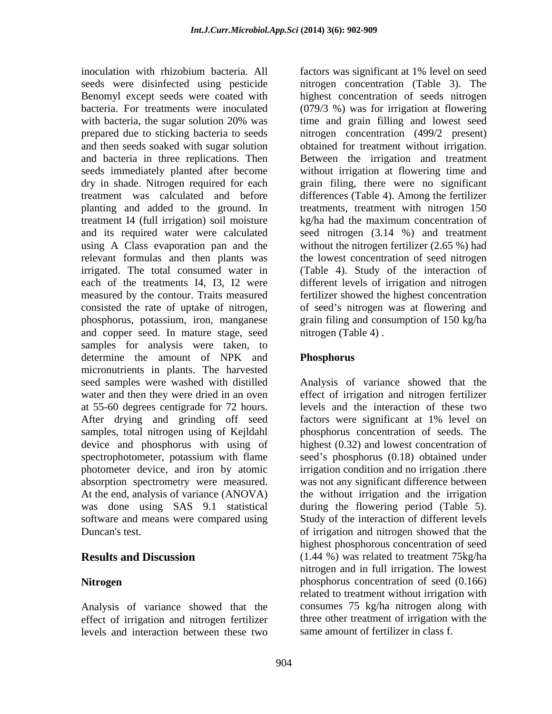inoculation with rhizobium bacteria. All factors was significant at 1% level on seed Benomyl except seeds were coated with planting and added to the ground. In treatment I4 (full irrigation) soil moisture kg/ha had the maximum concentration of using A Class evaporation pan and the and copper seed. In mature stage, seed samples for analysis were taken, to determine the amount of NPK and Phosphorus micronutrients in plants. The harvested seed samples were washed with distilled Analysis of variance showed that the water and then they were dried in an oven at 55-60 degrees centigrade for 72 hours. levels and the interaction of these two After drying and grinding off seed factors were significant at 1% level on samples, total nitrogen using of Kejldahl phosphorus concentration of seeds. The device and phosphorus with using of highest (0.32) and lowest concentration of spectrophotometer, potassium with flame seed's phosphorus (0.18) obtained under photometer device, and iron by atomic absorption spectrometry were measured. was not any significant difference between At the end, analysis of variance (ANOVA) the without irrigation and the irrigation was done using SAS 9.1 statistical during the flowering period (Table 5). software and means were compared using Study of the interaction of different levels

Analysis of variance showed that the effect of irrigation and nitrogen fertilizer levels and interaction between these two

seeds were disinfected using pesticide nitrogen concentration (Table 3). The bacteria. For treatments were inoculated (079/3 %) was for irrigation at flowering with bacteria, the sugar solution 20% was time and grain filling and lowest seed prepared due to sticking bacteria to seeds nitrogen concentration (499/2 present) and then seeds soaked with sugar solution obtained for treatment without irrigation. and bacteria in three replications. Then Between the irrigation and treatment seeds immediately planted after become without irrigation at flowering time and dry in shade Nitrogen required for each grain filing, there were no significant treatment was calculated and before differences (Table 4). Among the fertilizer and its required water were calculated seed nitrogen (3.14 %) and treatment relevant formulas and then plants was the lowest concentration of seed nitrogen irrigated. The total consumed water in (Table 4). Study of the interaction of each of the treatments I4, I3, I2 were different levels of irrigation and nitrogen measured by the contour. Traits measured fertilizer showed the highest concentration consisted the rate of uptake of nitrogen, of seed's nitrogen was at flowering and phosphorus, potassium, iron, manganese grain filing and consumption of 150 kg/ha factors was significant at 1% level on seed highest concentration of seeds nitrogen time and grain filling and lowest seed treatments, treatment with nitrogen 150 kg/ha had the maximum concentration of without the nitrogen fertilizer (2.65 %) had nitrogen (Table 4) .

# **Phosphorus**

Duncan's test. of irrigation and nitrogen showed that the **Results and Discussion** (1.44 %) was related to treatment 75kg/ha **Nitrogen phosphorus** concentration of seed (0.166) effect of irrigation and nitrogen fertilizer factors were significant at 1% level on irrigation condition and no irrigation .there highest phosphorous concentration of seed nitrogen and in full irrigation. The lowest related to treatment without irrigation with consumes 75 kg/ha nitrogen along with three other treatment of irrigation with the same amount of fertilizer in class f.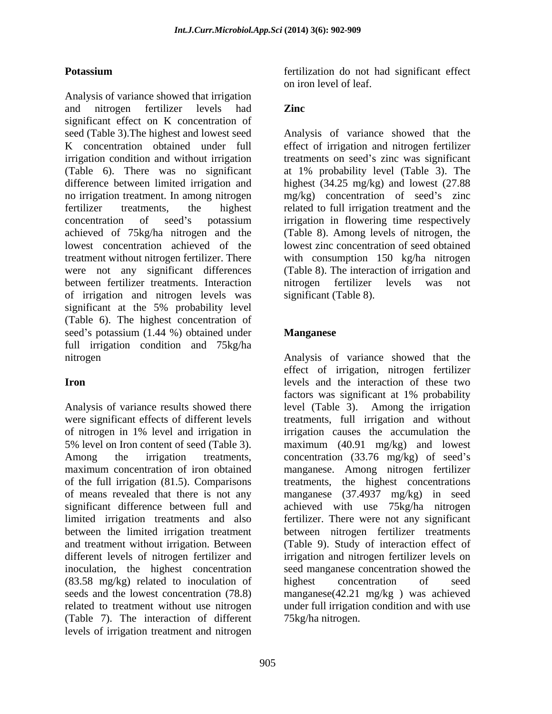Analysis of variance showed that irrigation and nitrogen fertilizer levels had **Zinc** significant effect on K concentration of seed (Table 3).The highest and lowest seed Analysis of variance showed that the K concentration obtained under full effect of irrigation and nitrogen fertilizer irrigation condition and without irrigation treatments on seed's zinc was significant (Table 6). There was no significant at 1% probability level (Table 3). The difference between limited irrigation and highest (34.25 mg/kg) and lowest (27.88 no irrigation treatment. In among nitrogen mg/kg) concentration of seed's zinc fertilizer treatments, the highest related to full irrigation treatment and the concentration of seed's potassium irrigation in flowering time respectively achieved of 75kg/ha nitrogen and the lowest concentration achieved of the lowest zinc concentration of seed obtained treatment without nitrogen fertilizer. There with consumption 150 kg/ha nitrogen were not any significant differences (Table 8). The interaction of irrigation and between fertilizer treatments. Interaction of irrigation and nitrogen levels was significant at the 5% probability level (Table 6). The highest concentration of seed's potassium  $(1.44 \%)$  obtained under **Manganese** full irrigation condition and 75kg/ha nitrogen Analysis of variance showed that the

Analysis of variance results showed there inoculation, the highest concentration<br>(83.58 mg/kg) related to inoculation of highest concentration (83.58 mg/kg) related to inoculation of (Table 7). The interaction of different levels of irrigation treatment and nitrogen

**Potassium** *estallization* do not had significant effect on iron level of leaf.

# **Zinc**

irrigation in flowering time respectively (Table 8). Among levels of nitrogen, the nitrogen fertilizer levels was not significant (Table 8).

### **Manganese**

**Iron** were significant effects of different levels treatments, full irrigation and without of nitrogen in 1% level and irrigation in 5% level on Iron content of seed (Table 3). maximum (40.91 mg/kg) and lowest Among the irrigation treatments, concentration (33.76 mg/kg) of seed's maximum concentration of iron obtained manganese. Among nitrogen fertilizer of the full irrigation (81.5). Comparisons treatments, the highest concentrations of means revealed that there is not any manganese (37.4937 mg/kg) in seed significant difference between full and achieved with use 75kg/ha nitrogen limited irrigation treatments and also fertilizer. There were not any significant between the limited irrigation treatment between nitrogen fertilizer treatments and treatment without irrigation. Between (Table 9). Study of interaction effect of different levels of nitrogen fertilizer and irrigation and nitrogen fertilizer levels on seeds and the lowest concentration (78.8) manganese(42.21 mg/kg ) was achieved related to treatment without use nitrogen under full irrigation condition and with use effect of irrigation, nitrogen fertilizer factors was significant at 1% probability level (Table 3). Among the irrigation irrigation causes the accumulation the seed manganese concentration showed the highest concentration of seed 75kg/ha nitrogen.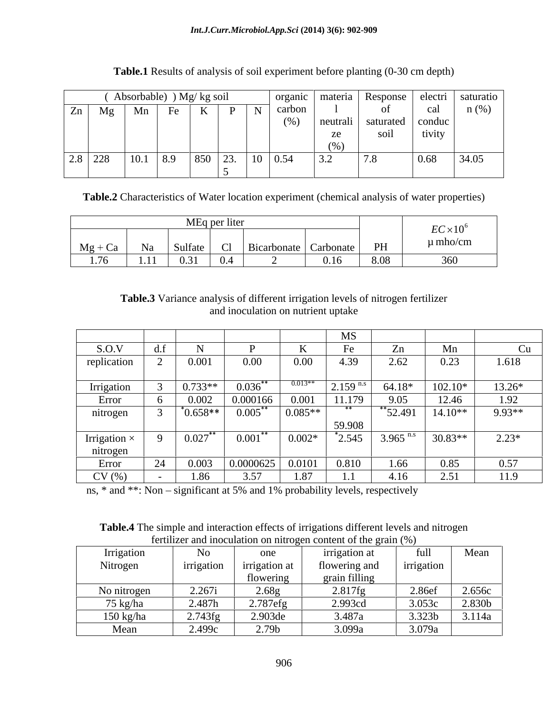|                                        |           |      | Absorbable) ) Mg/ kg soil |                    |         |                |               |            | ' organic   materia   Response   electri   saturatio |        |         |
|----------------------------------------|-----------|------|---------------------------|--------------------|---------|----------------|---------------|------------|------------------------------------------------------|--------|---------|
|                                        | $Zn$ Mg   | Mn   | Fe                        | TZ<br>$\mathbf{K}$ |         |                | carbon        |            |                                                      |        | $n$ (%) |
|                                        |           |      |                           |                    |         |                | $(0/\lambda)$ | l neutrali | saturated   conduc                                   |        |         |
|                                        |           |      |                           |                    |         |                |               | ze         | SO1l                                                 | tivity |         |
|                                        |           |      |                           |                    |         |                |               | (0)        |                                                      |        |         |
|                                        | $2.8$ 228 | 10.1 | 8.9                       |                    | 850 23. | $10 \mid 0.54$ |               | 3.2        | 7.8                                                  | 0.68   | 34.05   |
| the control of the control of the con- |           |      |                           |                    |         |                |               |            |                                                      |        |         |

# **Table.1** Results of analysis of soil experiment before planting (0-30 cm depth)

**Table.2** Characteristics of Water location experiment (chemical analysis of water properties)

|  |  |  | $EC \times 10^6$ |
|--|--|--|------------------|
|  |  |  | $\mu$ mho/cm     |
|  |  |  |                  |

# **Table.3** Variance analysis of different irrigation levels of nitrogen fertilizer and inoculation on nutrient uptake

|                     |           |                   |           |                 | <b>MS</b>                 |                    |           |          |
|---------------------|-----------|-------------------|-----------|-----------------|---------------------------|--------------------|-----------|----------|
| S.O.V               |           |                   |           |                 | $\mathbf{E}_{\mathbf{a}}$ | $\mathcal{L}$ n    | Mn        |          |
| replication         |           | 0.001             | 0.00      | 0.00            | 4.39                      | 2.62               | 0.23      | 1.618    |
|                     |           |                   |           |                 |                           |                    |           |          |
| Irrigation          |           | $0.733**$         | 0.036     | $0.013**$       | $2.159$ <sup>n</sup>      | $64.18*$           | 102.10*   | $13.26*$ |
| Error               |           | 0.002             | 0.000166  | 0.001           | 11.179                    | 9.05               | 12.46     | 1.92     |
| nitrogen            |           | $^{\circ}0.658**$ | 0.005     | $0.085**$       |                           | $^*$ 52.491        | $14.10**$ | 9.93**   |
|                     |           |                   |           |                 | 59.908                    |                    |           |          |
| Irrigation $\times$ |           | ∩ ∩ി~്*<br>0.027  | 0.001     | $0.002*$        | 2.545                     | 3.965 $^{\rm n.6}$ | $30.83**$ | $2.23*$  |
| nitrogen            |           |                   |           |                 |                           |                    |           |          |
| Error               | $\bigcap$ | 0.003             | 0.0000625 | 0.0101<br>u.uru | 0.810                     | 1.66               | 0.85      | 0.57     |
| CV(%)               |           | .86               | 3.57      | 07<br>1.07      |                           |                    | 2.51      | 11.9     |

ns,  $*$  and  $**$ : Non – significant at 5% and 1% probability levels, respectively

**Table.4** The simple and interaction effects of irrigations different levels and nitrogen fertilizer and inoculation on nitrogen content of the grain (%)

| Irrigation  | <b>INO</b>        | one               | irrigation at          | full       | Mean   |
|-------------|-------------------|-------------------|------------------------|------------|--------|
| Nitrogen    | <i>irrigation</i> | irrigation at     | flowering and          | irrigation |        |
|             |                   | flowering         | 0.111<br>grain filling |            |        |
| No nitrogen | 2.267<br>2.201    | 2.68g             | 017<br>$2.81/$ fg      | 2.86ef     | 2.656c |
| 75 kg/ha    | 2.487h            | 2.787efg          | 2.993cd                | 3.053c     | 2.830b |
| 150 kg/ha   | $2.743$ fg        | 2.903de           | 3.487a                 | 3.323b     | 3.114a |
| Mean        | 2.499c            | 2.79 <sub>b</sub> | 3.099a                 | 3.079a     |        |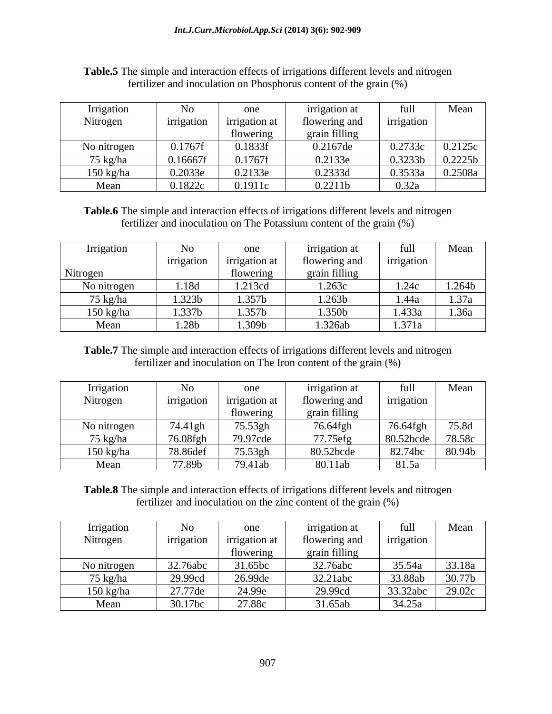| Irrigation  |            | one                  | <i>irrigation</i> at | full       | Mean    |
|-------------|------------|----------------------|----------------------|------------|---------|
| Nitrogen    | irrigation | <i>irrigation</i> at | flowering and        | irrigation |         |
|             |            | flowering            | grain filling        |            |         |
| No nitrogen | 0.1767f    | 0.1833f              | 0.2167de             | 0.2733c    | 0.2125c |
| 75 kg/ha    | 0.16667f   | 0.1767f              | 0.2133e              | 0.3233b    | 0.2225b |
| $150$ kg/ha | 0.2033e    | 0.2133e              | 0.2333d              | 0.3533a    | 0.2508a |
| Mean        | 0.1822c    | 0.1911c              | 0.2211b              | 0.32a      |         |

| Table.5 The simple and interaction effects of irrigations different levels and nitrogen            |  |
|----------------------------------------------------------------------------------------------------|--|
| $\sqrt{2}$<br>fertilizer and inoculation on Phosphorus content $\alpha'$<br>t of the grain $(\% )$ |  |

**Table.6** The simple and interaction effects of irrigations different levels and nitrogen fertilizer and inoculation on The Potassium content of the grain (%)

| Irrigation          | <b>INO</b> | one                  | <i>irrigation</i> at | full            | Mean   |
|---------------------|------------|----------------------|----------------------|-----------------|--------|
|                     | irrigation | <i>irrigation</i> at | flowering and        | irrigation      |        |
| Nitrogen            |            | flowering            | grain filling        |                 |        |
| No nitrogen         | 1.18d      | 1.213cd              | 1.263c               | 1.24c           | 1.264b |
| 75 kg/ha            | 1.323b     | 1.357b               | 1.263b               | 1.44a           | 1.37a  |
| $150 \text{ kg/ha}$ | 1.337b     | 1.357b               | 1.350b               | 1.433a          | 1.36a  |
| Mean                | 1.28b      | 1.309b               | 1.326ab              | 1,371<br>1.911a |        |

**Table.7** The simple and interaction effects of irrigations different levels and nitrogen fertilizer and inoculation on The Iron content of the grain (%)

| <i>rrigation</i>    | <b>INO</b> | one                  | irrigation at |            | Mean   |
|---------------------|------------|----------------------|---------------|------------|--------|
| Nitrogen            | irrigation | <i>irrigation</i> at | flowering and | irrigation |        |
|                     |            | flowering            | grain filling |            |        |
| No nitrogen         | 74.41gh    | 75.53gh              | 76.64fgb      | 76.64fgh   | 75.8d  |
| 75 kg/ha            | 76.08fgh   | 79.97cde             | 77.75efg      | 80.52bcde  | 78.58c |
| $150 \text{ kg/ha}$ | 78.86de.   | 75.53gh              | 80.52bcde     | 82.74bc    | 80.94b |
| Mean                | 77.89b     | 79.41ab              | 80.11ab       | 81.5a      |        |

**Table.8** The simple and interaction effects of irrigations different levels and nitrogen fertilizer and inoculation on the zinc content of the grain (%)

| Irrigation  |                                | one                  | <i>irrigation</i> at | full       | Mean   |
|-------------|--------------------------------|----------------------|----------------------|------------|--------|
| Nitrogen    | irrigation                     | <i>irrigation</i> at | flowering and        | irrigation |        |
|             |                                | flowering            | grain filling        |            |        |
| No nitrogen | 32.76abc                       | 31.65bc              | 32.76abc             | 35.54a     | 33.18a |
| 75 kg/ha    | 29.99cc                        | 26.99de              | 32.21abc             | 33.88ab    | 30.77b |
| 150 kg/ha   | 27.77<br>ەە ب                  | 24.99e               | 29.99cd              | 33.32abc   | 29.02c |
| Mean        | 20.17 <sub>bc</sub><br>30.170c | 27.88c               | 31.65ab              | 34.25a     |        |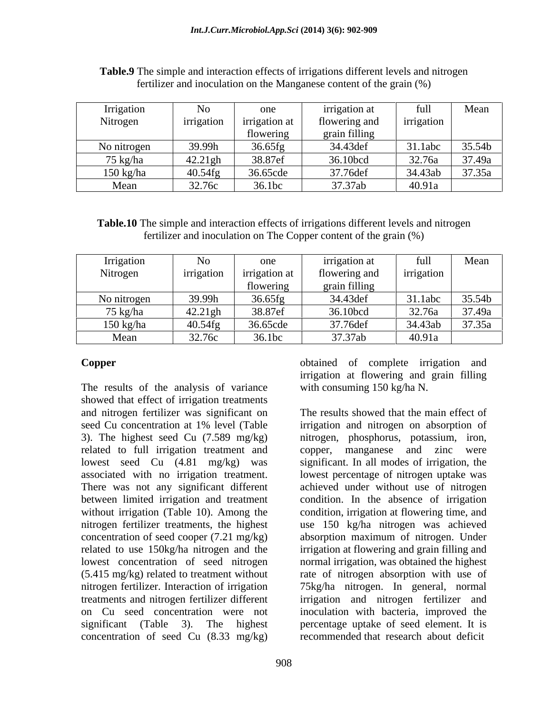| Irrigation  | <b>LNO</b> | one          | <i>irrigation</i> at |            | Mean   |
|-------------|------------|--------------|----------------------|------------|--------|
| Nitrogen    | irrigation | irrigation a | flowering and        | irrigation |        |
|             |            | flowering    | grain filling        |            |        |
| No nitrogen | 39.99h     | 36.65fg      | 34.43def             | 31.1abc    | 35.54b |
| 75 kg/ha    | 42.21gh    | 38.87ef      | 36.10bcd             | 32.76a     | 37.49a |
| $150$ kg/ha | 40.54fg    | 36.65cde     | 37.76def             | 34.43ab    | 37.35a |
| Mean        | 32.76c     | 36.1bc       | 37.37ab              | 40.91a     |        |

**Table.9** The simple and interaction effects of irrigations different levels and nitrogen fertilizer and inoculation on the Manganese content of the grain (%)

**Table.10** The simple and interaction effects of irrigations different levels and nitrogen fertilizer and inoculation on The Copper content of the grain (%)

| Irrigation  | No                                      | one                  | irrigation at | tuh        | Mean   |
|-------------|-----------------------------------------|----------------------|---------------|------------|--------|
| Nitrogen    | irrigation                              | <i>irrigation</i> at | flowering and | irrigation |        |
|             |                                         | flowering            | grain filling |            |        |
| No nitrogen | 39.99h                                  | 36.65fg              | 34.43 det     | 31.1abc    | 35.54b |
| 75 kg/ha    | $\Delta$ 21 $\sigma$ h<br>$\tau \sim 1$ | 38.87ef              | 36.10bcd      | 32.76a     | 37.49a |
| $150$ kg/ha | 40.54fg                                 | 36.65cde             | 37.76def      | 34.43ab    | 37.35a |
| Mean        | 32.76c                                  | 36.1bc               | 37.37ab       | 40.91a     |        |

The results of the analysis of variance showed that effect of irrigation treatments and nitrogen fertilizer was significant on The results showed that the main effect of seed Cu concentration at 1% level (Table irrigation and nitrogen on absorption of 3). The highest seed Cu (7.589 mg/kg) nitrogen, phosphorus, potassium, iron, related to full irrigation treatment and lowest seed Cu (4.81 mg/kg) was significant. In all modes of irrigation, the associated with no irrigation treatment. Iowest percentage of nitrogen uptake was<br>There was not any significant different achieved under without use of nitrogen between limited irrigation and treatment without irrigation (Table 10). Among the condition, irrigation at flowering time, and nitrogen fertilizer treatments, the highest use 150 kg/ha nitrogen was achieved concentration of seed cooper (7.21 mg/kg) absorption maximum of nitrogen. Under related to use 150kg/ha nitrogen and the irrigation at flowering and grain filling and lowest concentration of seed nitrogen normal irrigation, was obtained the highest (5.415 mg/kg) related to treatment without rate of nitrogen absorption with use of nitrogen fertilizer. Interaction of irrigation 75kg/ha nitrogen. In general, normal treatments and nitrogen fertilizer different irrigation and nitrogen fertilizer and on Cu seed concentration were not inoculation with bacteria, improved the significant (Table 3). The highest percentage uptake of seed element. It is concentration of seed Cu  $(8.33 \text{ mg/kg})$ 

**Copper Copper Copper Copper Conserved Conserved Conserved Conserved Conserved Conserved Conserved Conserved Conserved Conserved Conserved Conserved Conserved Conserved Conserved Conse** irrigation at flowering and grain filling with consuming 150 kg/ha N.

> irrigation and nitrogen on absorption of copper, manganese and zinc were lowest percentage of nitrogen uptake was achieved under without use of nitrogen condition. In the absence of irrigation recommended that research about deficit